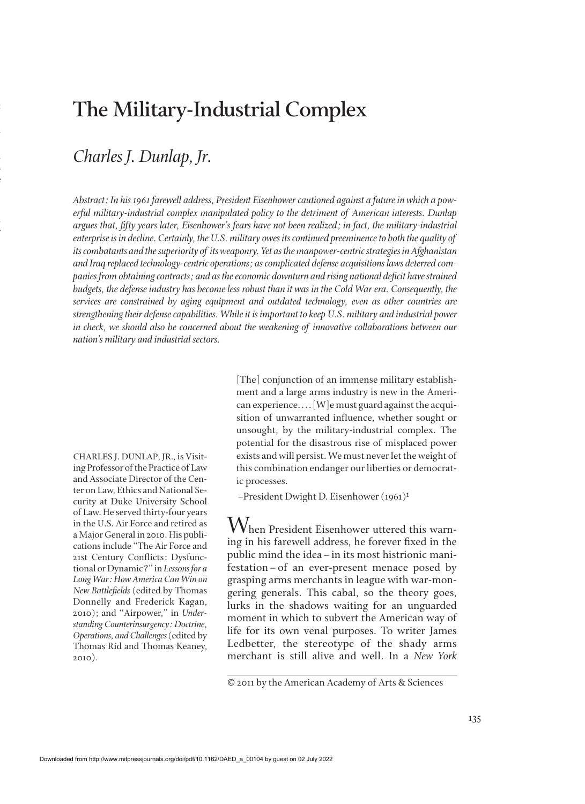## **The Military-Industrial Complex**

## *Charles J. Dunlap, Jr.*

:

*-*

*-* e

 y *Abstract: In his 1961 farewell address, President Eisenhower cautioned against a future in which a powerful military-industrial complex manipulated policy to the detriment of American interests. Dunlap argues that, ½fty years later, Eisenhower's fears have not been realized; in fact, the military-industrial enterprise is in decline. Certainly, the U.S. military owes its continued preeminence to both the quality of its combatants and the superiority of its weaponry. Yet as the manpower-centric strategies in Afghanistan and Iraq replaced technology-centric operations; as complicated defense acquisitions laws deterred companies from obtaining contracts; and as the economic downturn and rising national deficit have strained budgets, the defense industry has become less robust than it was in the Cold War era. Consequently, the services are constrained by aging equipment and outdated technology, even as other countries are strengthening their defense capabilities. While it is important to keep U.S. military and industrial power in check, we should also be concerned about the weakening of innovative collaborations between our nation's military and industrial sectors.*

CHARLES J. DUNLAP, JR., is Visiting Professor of the Practice of Law and Associate Director of the Center on Law, Ethics and National Security at Duke University School of Law. He served thirty-four years in the U.S. Air Force and retired as a Major General in 2010. His publications include "The Air Force and 21st Century Conflicts: Dysfunctional or Dynamic?" in *Lessons for a Long War: How America Can Win on New Battle½elds* (edited by Thomas Donnelly and Frederick Kagan, 2010); and "Airpower," in *Understanding Counterinsurgency: Doctrine, Operations, and Challenges*(edited by Thomas Rid and Thomas Keaney, 2010).

[The] conjunction of an immense military establishment and a large arms industry is new in the American experience.... [W]e must guard against the acquisition of unwarranted influence, whether sought or unsought, by the military-industrial complex. The potential for the disastrous rise of misplaced power exists and will persist. We must never let the weight of this combination endanger our liberties or democratic processes.

–President Dwight D. Eisenhower (1961)1

 $\operatorname{\mathsf{W}}$ hen President Eisenhower uttered this warning in his farewell address, he forever fixed in the public mind the idea–in its most histrionic manifestation–of an ever-present menace posed by grasping arms merchants in league with war-mongering generals. This cabal, so the theory goes, lurks in the shadows waiting for an unguarded moment in which to subvert the American way of life for its own venal purposes. To writer James Ledbetter, the stereotype of the shady arms merchant is still alive and well. In a *New York* 

<sup>© 2011</sup> by the American Academy of Arts & Sciences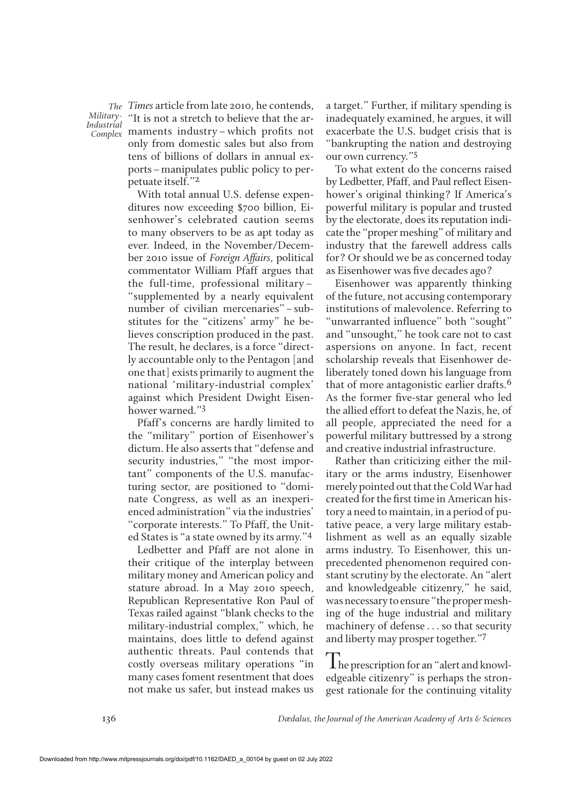*Industrial*

*Times* article from late 2010, he contends, *The Military* "It is not a stretch to believe that the ar-*Complex* maments industry–which profits not only from domestic sales but also from tens of billions of dollars in annual exports–manipulates public policy to perpetuate itself."2

With total annual U.S. defense expenditures now exceeding \$700 billion, Eisenhower's celebrated caution seems to many observers to be as apt today as ever. Indeed, in the November/December 2010 issue of *Foreign Affairs*, political commentator William Pfaff argues that the full-time, professional military– "supplemented by a nearly equivalent number of civilian mercenaries"–substitutes for the "citizens' army" he believes conscription produced in the past. The result, he declares, is a force "directly accountable only to the Pentagon [and one that] exists primarily to augment the national 'military-industrial complex' against which President Dwight Eisenhower warned."3

Pfaff's concerns are hardly limited to the "military" portion of Eisenhower's dictum. He also asserts that "defense and security industries," "the most important" components of the U.S. manufacturing sector, are positioned to "dominate Congress, as well as an inexperienced administration" via the industries' "corporate interests." To Pfaff, the United States is "a state owned by its army."4

Ledbetter and Pfaff are not alone in their critique of the interplay between military money and American policy and stature abroad. In a May 2010 speech, Republican Representative Ron Paul of Texas railed against "blank checks to the military-industrial complex," which, he maintains, does little to defend against authentic threats. Paul contends that costly overseas military operations "in many cases foment resentment that does not make us safer, but instead makes us a target." Further, if military spending is inadequately examined, he argues, it will exacerbate the U.S. budget crisis that is "bankrupting the nation and destroying our own currency."5

To what extent do the concerns raised by Ledbetter, Pfaff, and Paul reflect Eisenhower's original thinking? If America's powerful military is popular and trusted by the electorate, does its reputation indicate the "proper meshing" of military and industry that the farewell address calls for? Or should we be as concerned today as Eisenhower was five decades ago?

Eisenhower was apparently thinking of the future, not accusing contemporary institutions of malevolence. Referring to "unwarranted influence" both "sought" and "unsought," he took care not to cast aspersions on anyone. In fact, recent scholarship reveals that Eisenhower deliberately toned down his language from that of more antagonistic earlier drafts.6 As the former five-star general who led the allied effort to defeat the Nazis, he, of all people, appreciated the need for a powerful military buttressed by a strong and creative industrial infrastructure.

Rather than criticizing either the military or the arms industry, Eisenhower merely pointed out that the Cold War had created for the first time in American history a need to maintain, in a period of putative peace, a very large military establishment as well as an equally sizable arms industry. To Eisenhower, this unprecedented phenomenon required constant scrutiny by the electorate. An "alert and knowledgeable citizenry," he said, was necessary to ensure "the proper meshing of the huge industrial and military machinery of defense . . . so that security and liberty may prosper together."7

The prescription for an "alert and knowledgeable citizenry" is perhaps the strongest rationale for the continuing vitality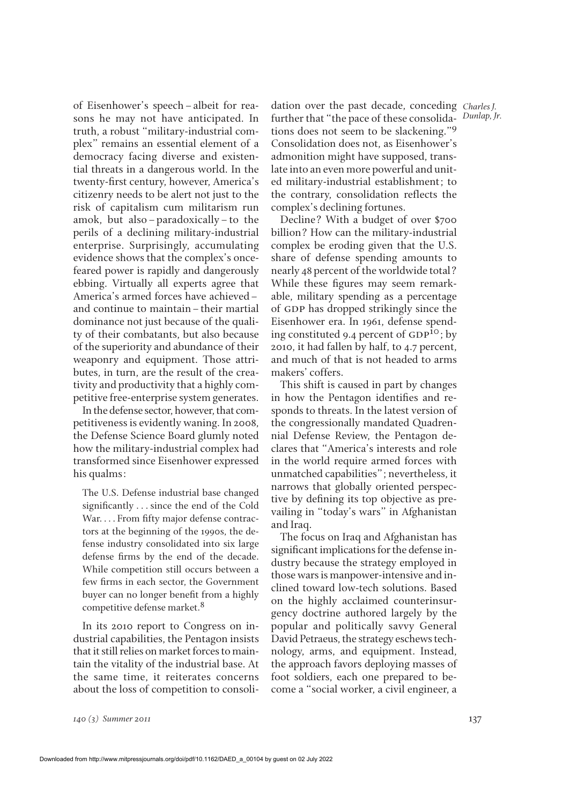of Eisenhower's speech–albeit for reasons he may not have anticipated. In truth, a robust "military-industrial complex" remains an essential element of a democracy facing diverse and existential threats in a dangerous world. In the twenty-first century, however, America's citizenry needs to be alert not just to the risk of capitalism cum militarism run amok, but also–paradoxically–to the perils of a declining military-industrial enterprise. Surprisingly, accumulating evidence shows that the complex's oncefeared power is rapidly and dangerously ebbing. Virtually all experts agree that America's armed forces have achieved– and continue to maintain–their martial dominance not just because of the quality of their combatants, but also because of the superiority and abundance of their weaponry and equipment. Those attributes, in turn, are the result of the creativity and productivity that a highly competitive free-enterprise system generates.

In the defense sector, however, that competitiveness is evidently waning. In 2008, the Defense Science Board glumly noted how the military-industrial complex had transformed since Eisenhower expressed his qualms:

The U.S. Defense industrial base changed significantly . . . since the end of the Cold War. . . . From fifty major defense contractors at the beginning of the 1990s, the defense industry consolidated into six large defense firms by the end of the decade. While competition still occurs between a few firms in each sector, the Government buyer can no longer benefit from a highly competitive defense market.8

In its 2010 report to Congress on industrial capabilities, the Pentagon insists that it still relies on market forces to maintain the vitality of the industrial base. At the same time, it reiterates concerns about the loss of competition to consoli-

dation over the past decade, conceding *Charles J.* further that "the pace of these consolida-*Dunlap, Jr.* tions does not seem to be slackening."9 Consolidation does not, as Eisenhower's admonition might have supposed, translate into an even more powerful and united military-industrial establishment; to the contrary, consolidation reflects the complex's declining fortunes.

Decline? With a budget of over \$700 billion? How can the military-industrial complex be eroding given that the U.S. share of defense spending amounts to nearly 48 percent of the worldwide total? While these figures may seem remarkable, military spending as a percentage of GDP has dropped strikingly since the Eisenhower era. In 1961, defense spending constituted 9.4 percent of  $GDP^{10}$ ; by 2010, it had fallen by half, to 4.7 percent, and much of that is not headed to arms makers' coffers.

This shift is caused in part by changes in how the Pentagon identifies and responds to threats. In the latest version of the congressionally mandated Quadrennial Defense Review, the Pentagon declares that "America's interests and role in the world require armed forces with unmatched capabilities"; nevertheless, it narrows that globally oriented perspective by defining its top objective as prevailing in "today's wars" in Afghanistan and Iraq.

The focus on Iraq and Afghanistan has significant implications for the defense industry because the strategy employed in those wars is manpower-intensive and inclined toward low-tech solutions. Based on the highly acclaimed counterinsurgency doctrine authored largely by the popular and politically savvy General David Petraeus, the strategy eschews technology, arms, and equipment. Instead, the approach favors deploying masses of foot soldiers, each one prepared to become a "social worker, a civil engineer, a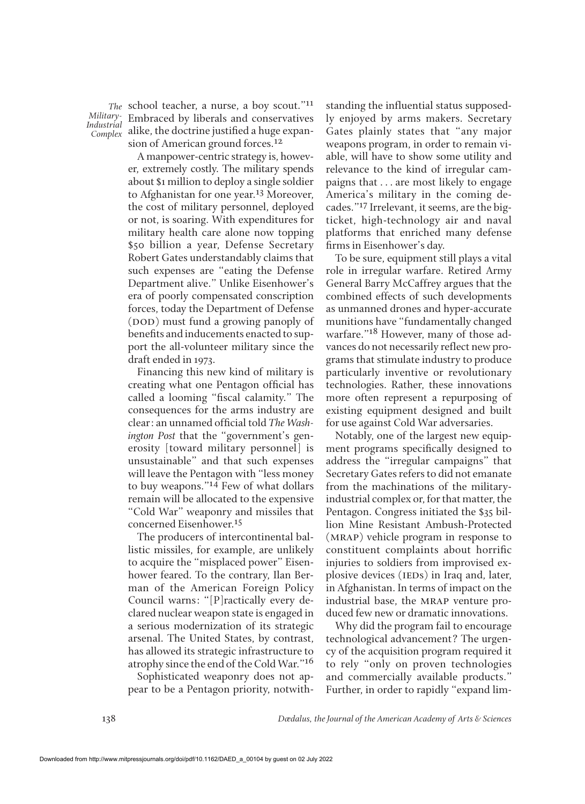*Military-Industrial*

The school teacher, a nurse, a boy scout."<sup>11</sup> Embraced by liberals and conservatives *Complex* alike, the doctrine justified a huge expansion of American ground forces.12

> A manpower-centric strategy is, however, extremely costly. The military spends about \$1 million to deploy a single soldier to Afghanistan for one year.<sup>13</sup> Moreover, the cost of military personnel, deployed or not, is soaring. With expenditures for military health care alone now topping \$50 billion a year, Defense Secretary Robert Gates understandably claims that such expenses are "eating the Defense Department alive." Unlike Eisenhower's era of poorly compensated conscription forces, today the Department of Defense (DOD) must fund a growing panoply of benefits and inducements enacted to support the all-volunteer military since the draft ended in 1973.

> Financing this new kind of military is creating what one Pentagon official has called a looming "fiscal calamity." The consequences for the arms industry are clear: an unnamed official told *The Washington Post* that the "government's generosity [toward military personnel] is unsustainable" and that such expenses will leave the Pentagon with "less money to buy weapons." $14$  Few of what dollars remain will be allocated to the expensive "Cold War" weaponry and missiles that concerned Eisenhower.15

> The producers of intercontinental ballistic missiles, for example, are unlikely to acquire the "misplaced power" Eisenhower feared. To the contrary, Ilan Berman of the American Foreign Policy Council warns: "[P]ractically every declared nuclear weapon state is engaged in a serious modernization of its strategic arsenal. The United States, by contrast, has allowed its strategic infrastructure to atrophy since the end of the Cold War."16

> Sophisticated weaponry does not appear to be a Pentagon priority, notwith-

standing the influential status supposedly enjoyed by arms makers. Secretary Gates plainly states that "any major weapons program, in order to remain viable, will have to show some utility and relevance to the kind of irregular campaigns that . . . are most likely to engage America's military in the coming decades."17 Irrelevant, it seems, are the bigticket, high-technology air and naval platforms that enriched many defense firms in Eisenhower's day.

To be sure, equipment still plays a vital role in irregular warfare. Retired Army General Barry McCaffrey argues that the combined effects of such developments as unmanned drones and hyper-accurate munitions have "fundamentally changed warfare."18 However, many of those advances do not necessarily reflect new programs that stimulate industry to produce particularly inventive or revolutionary technologies. Rather, these innovations more often represent a repurposing of existing equipment designed and built for use against Cold War adversaries.

Notably, one of the largest new equipment programs specifically designed to address the "irregular campaigns" that Secretary Gates refers to did not emanate from the machinations of the militaryindustrial complex or, for that matter, the Pentagon. Congress initiated the \$35 billion Mine Resistant Ambush-Protected (mrap) vehicle program in response to constituent complaints about horrific injuries to soldiers from improvised explosive devices (IEDs) in Iraq and, later, in Afghanistan. In terms of impact on the industrial base, the MRAP venture produced few new or dramatic innovations.

Why did the program fail to encourage technological advancement? The urgency of the acquisition program required it to rely "only on proven technologies and commercially available products." Further, in order to rapidly "expand lim-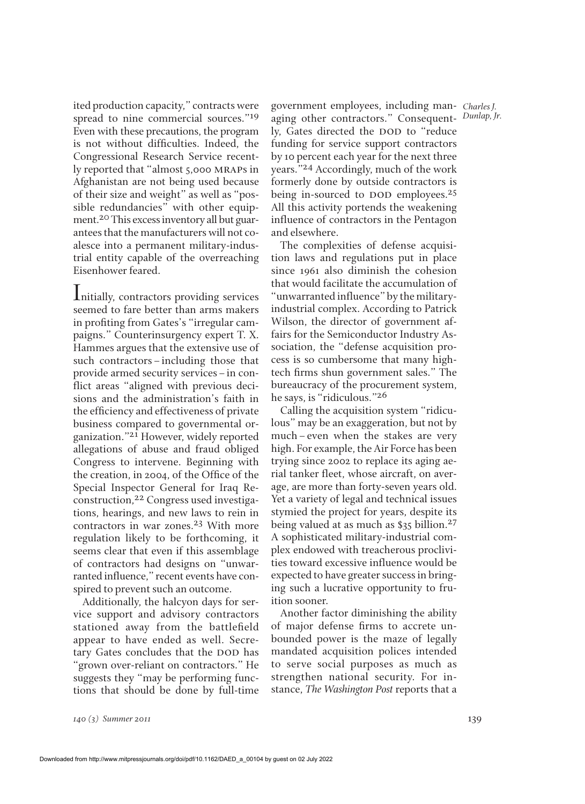ited production capacity," contracts were spread to nine commercial sources."19 Even with these precautions, the program is not without difficulties. Indeed, the Congressional Research Service recently reported that "almost 5,000 mraps in Afghanistan are not being used because of their size and weight" as well as "possible redundancies" with other equipment.20This excess inventory all but guarantees that the manufacturers will not coalesce into a permanent military-industrial entity capable of the overreaching Eisenhower feared.

Initially, contractors providing services seemed to fare better than arms makers in profiting from Gates's "irregular campaigns." Counterinsurgency expert T. X. Hammes argues that the extensive use of such contractors–including those that provide armed security services–in conflict areas "aligned with previous decisions and the administration's faith in the efficiency and effectiveness of private business compared to governmental organization."21 However, widely reported allegations of abuse and fraud obliged Congress to intervene. Beginning with the creation, in 2004, of the Office of the Special Inspector General for Iraq Reconstruction,22 Congress used investigations, hearings, and new laws to rein in contractors in war zones.<sup>23</sup> With more regulation likely to be forthcoming, it seems clear that even if this assemblage of contractors had designs on "unwarranted influence," recent events have conspired to prevent such an outcome.

Additionally, the halcyon days for service support and advisory contractors stationed away from the battlefield appear to have ended as well. Secretary Gates concludes that the DOD has "grown over-reliant on contractors." He suggests they "may be performing functions that should be done by full-time government employees, including man-*Charles J.* aging other contractors." Consequent-*Dunlap, Jr.* ly, Gates directed the DOD to "reduce funding for service support contractors by 10 percent each year for the next three years."24 Accordingly, much of the work formerly done by outside contractors is being in-sourced to DOD employees.<sup>25</sup> All this activity portends the weakening influence of contractors in the Pentagon and elsewhere.

The complexities of defense acquisition laws and regulations put in place since 1961 also diminish the cohesion that would facilitate the accumulation of "unwarranted influence" by the militaryindustrial complex. According to Patrick Wilson, the director of government affairs for the Semiconductor Industry Association, the "defense acquisition process is so cumbersome that many hightech firms shun government sales." The bureaucracy of the procurement system, he says, is "ridiculous."26

Calling the acquisition system "ridiculous" may be an exaggeration, but not by much–even when the stakes are very high. For example, the Air Force has been trying since 2002 to replace its aging aerial tanker fleet, whose aircraft, on average, are more than forty-seven years old. Yet a variety of legal and technical issues stymied the project for years, despite its being valued at as much as \$35 billion.27 A sophisticated military-industrial complex endowed with treacherous proclivities toward excessive influence would be expected to have greater success in bringing such a lucrative opportunity to fruition sooner.

Another factor diminishing the ability of major defense firms to accrete unbounded power is the maze of legally mandated acquisition polices intended to serve social purposes as much as strengthen national security. For instance, *The Washington Post* reports that a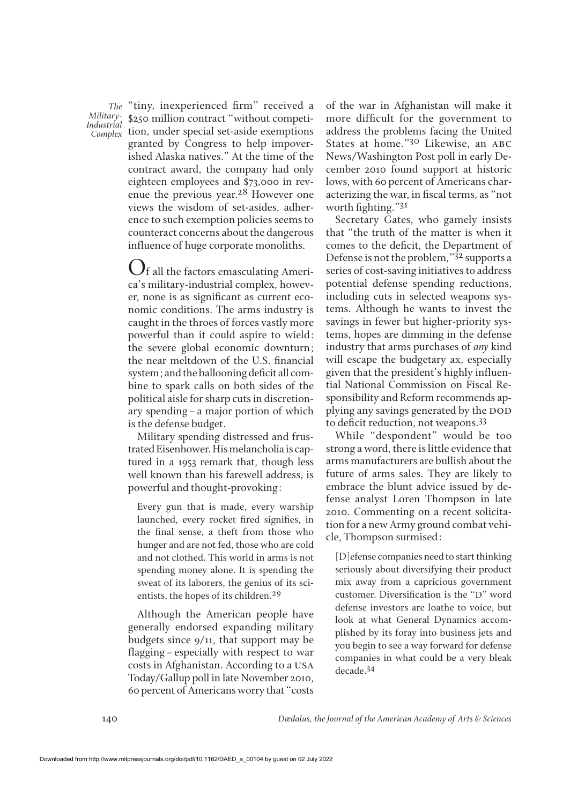*Industrial*

The "tiny, inexperienced firm" received a Military-<sub>8250</sub> million contract "without competition, under special set-aside exemptions *Complex* granted by Congress to help impoverished Alaska natives." At the time of the contract award, the company had only eighteen employees and \$73,000 in revenue the previous year.<sup>28</sup> However one views the wisdom of set-asides, adherence to such exemption policies seems to counteract concerns about the dangerous influence of huge corporate monoliths.

> Of all the factors emasculating America's military-industrial complex, however, none is as significant as current economic conditions. The arms industry is caught in the throes of forces vastly more powerful than it could aspire to wield: the severe global economic downturn; the near meltdown of the U.S. financial system; and the ballooning deficit all combine to spark calls on both sides of the political aisle for sharp cuts in discretionary spending–a major portion of which is the defense budget.

> Military spending distressed and frustrated Eisenhower. His melancholia is captured in a 1953 remark that, though less well known than his farewell address, is powerful and thought-provoking:

Every gun that is made, every warship launched, every rocket fired signifies, in the final sense, a theft from those who hunger and are not fed, those who are cold and not clothed. This world in arms is not spending money alone. It is spending the sweat of its laborers, the genius of its scientists, the hopes of its children.29

Although the American people have generally endorsed expanding military budgets since 9/11, that support may be flagging–especially with respect to war costs in Afghanistan. According to a usa Today/Gallup poll in late November 2010, 60 percent of Americans worry that "costs of the war in Afghanistan will make it more difficult for the government to address the problems facing the United States at home."<sup>30</sup> Likewise, an abc News/Washington Post poll in early December 2010 found support at historic lows, with 60 percent of Americans characterizing the war, in fiscal terms, as "not worth fighting." $31$ 

Secretary Gates, who gamely insists that "the truth of the matter is when it comes to the deficit, the Department of Defense is not the problem," $3^2$  supports a series of cost-saving initiatives to address potential defense spending reductions, including cuts in selected weapons systems. Although he wants to invest the savings in fewer but higher-priority systems, hopes are dimming in the defense industry that arms purchases of *any* kind will escape the budgetary ax, especially given that the president's highly influential National Commission on Fiscal Responsibility and Reform recommends applying any savings generated by the DOD to deficit reduction, not weapons.<sup>33</sup>

While "despondent" would be too strong a word, there is little evidence that arms manufacturers are bullish about the future of arms sales. They are likely to embrace the blunt advice issued by defense analyst Loren Thompson in late 2010. Commenting on a recent solicitation for a new Army ground combat vehicle, Thompson surmised:

[D]efense companies need to start thinking seriously about diversifying their product mix away from a capricious government customer. Diversification is the "D" word defense investors are loathe to voice, but look at what General Dynamics accomplished by its foray into business jets and you begin to see a way forward for defense companies in what could be a very bleak decade.34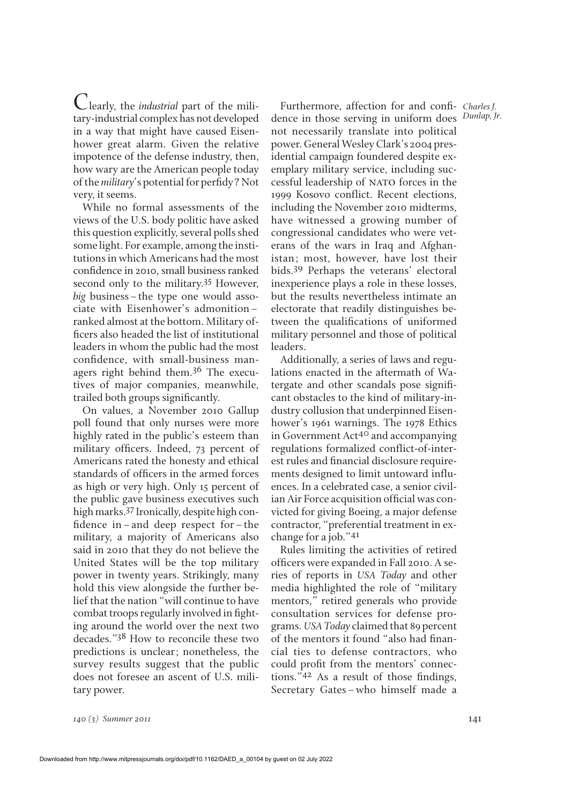Clearly, the *industrial* part of the military-industrial complex has not developed in a way that might have caused Eisenhower great alarm. Given the relative impotence of the defense industry, then, how wary are the American people today of the *military*'s potential for perfidy? Not very, it seems.

While no formal assessments of the views of the U.S. body politic have asked this question explicitly, several polls shed some light. For example, among the institutions in which Americans had the most confidence in 2010, small business ranked second only to the military.35 However, *big* business–the type one would associate with Eisenhower's admonition– ranked almost at the bottom. Military of ficers also headed the list of institutional leaders in whom the public had the most confidence, with small-business managers right behind them.36 The executives of major companies, meanwhile, trailed both groups significantly.

On values, a November 2010 Gallup poll found that only nurses were more highly rated in the public's esteem than military officers. Indeed, 73 percent of Americans rated the honesty and ethical standards of officers in the armed forces as high or very high. Only 15 percent of the public gave business executives such high marks.<sup>37</sup> Ironically, despite high confidence in–and deep respect for–the military, a majority of Americans also said in 2010 that they do not believe the United States will be the top military power in twenty years. Strikingly, many hold this view alongside the further belief that the nation "will continue to have combat troops regularly involved in fighting around the world over the next two decades."38 How to reconcile these two predictions is unclear; nonetheless, the survey results suggest that the public does not foresee an ascent of U.S. military power.

Furthermore, affection for and confi- Charles J. dence in those serving in uniform does *Dunlap, Jr.* not necessarily translate into political power. General Wesley Clark's 2004 presidential campaign foundered despite exemplary military service, including successful leadership of nato forces in the 1999 Kosovo conflict. Recent elections, including the November 2010 midterms, have witnessed a growing number of congressional candidates who were veterans of the wars in Iraq and Afghanistan; most, however, have lost their bids.39 Perhaps the veterans' electoral inexperience plays a role in these losses, but the results nevertheless intimate an electorate that readily distinguishes between the qualifications of uniformed military personnel and those of political leaders.

Additionally, a series of laws and regulations enacted in the aftermath of Watergate and other scandals pose significant obstacles to the kind of military-industry collusion that underpinned Eisenhower's 1961 warnings. The 1978 Ethics in Government Act<sup>40</sup> and accompanying regulations formalized conflict-of-interest rules and financial disclosure requirements designed to limit untoward influences. In a celebrated case, a senior civilian Air Force acquisition official was convicted for giving Boeing, a major defense contractor, "preferential treatment in exchange for a job."41

Rules limiting the activities of retired officers were expanded in Fall 2010. A series of reports in *USA Today* and other media highlighted the role of "military mentors," retired generals who provide consultation services for defense programs. *USA Today* claimed that 89 percent of the mentors it found "also had financial ties to defense contractors, who could profit from the mentors' connections." $42$  As a result of those findings, Secretary Gates–who himself made a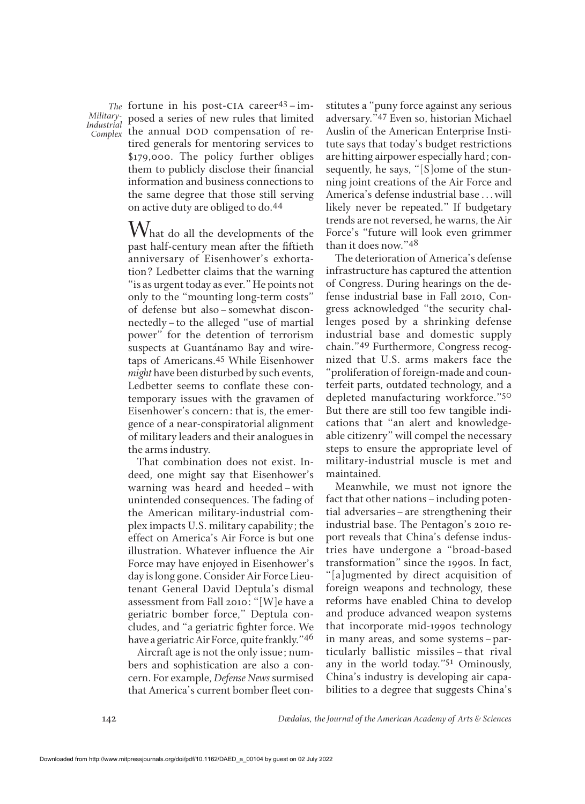*Industrial*

fortune in his post-cia career43–im-*The* Military-<br>Industrial posed a series of new rules that limited ndustrial <sup>1</sup><br>Complex the annual DOD compensation of retired generals for mentoring services to \$179,000. The policy further obliges them to publicly disclose their financial information and business connections to the same degree that those still serving on active duty are obliged to do.44

> $\rm W$ hat do all the developments of the past half-century mean after the fiftieth anniversary of Eisenhower's exhortation? Ledbetter claims that the warning "is as urgent today as ever." He points not only to the "mounting long-term costs" of defense but also–somewhat disconnectedly–to the alleged "use of martial power" for the detention of terrorism suspects at Guantánamo Bay and wiretaps of Americans.45 While Eisenhower *might* have been disturbed by such events, Ledbetter seems to conflate these contemporary issues with the gravamen of Eisenhower's concern: that is, the emergence of a near-conspiratorial alignment of military leaders and their analogues in the arms industry.

> That combination does not exist. Indeed, one might say that Eisenhower's warning was heard and heeded–with unintended consequences. The fading of the American military-industrial complex impacts U.S. military capability; the effect on America's Air Force is but one illustration. Whatever influence the Air Force may have enjoyed in Eisenhower's day is long gone. Consider Air Force Lieutenant General David Deptula's dismal assessment from Fall 2010: "[W]e have a geriatric bomber force," Deptula concludes, and "a geriatric fighter force. We have a geriatric Air Force, quite frankly."46

> Aircraft age is not the only issue; numbers and sophistication are also a concern. For example, *Defense News*surmised that America's current bomber fleet con

stitutes a "puny force against any serious adversary."47 Even so, historian Michael Auslin of the American Enterprise Institute says that today's budget restrictions are hitting airpower especially hard; consequently, he says, "[S]ome of the stunning joint creations of the Air Force and America's defense industrial base . . . will likely never be repeated." If budgetary trends are not reversed, he warns, the Air Force's "future will look even grimmer than it does now."48

The deterioration of America's defense infrastructure has captured the attention of Congress. During hearings on the defense industrial base in Fall 2010, Congress acknowledged "the security challenges posed by a shrinking defense industrial base and domestic supply chain."49 Furthermore, Congress recognized that U.S. arms makers face the "proliferation of foreign-made and counterfeit parts, outdated technology, and a depleted manufacturing workforce."50 But there are still too few tangible indications that "an alert and knowledgeable citizenry" will compel the necessary steps to ensure the appropriate level of military-industrial muscle is met and maintained.

Meanwhile, we must not ignore the fact that other nations–including potential adversaries–are strengthening their industrial base. The Pentagon's 2010 report reveals that China's defense industries have undergone a "broad-based transformation" since the 1990s. In fact, "[a]ugmented by direct acquisition of foreign weapons and technology, these reforms have enabled China to develop and produce advanced weapon systems that incorporate mid-1990s technology in many areas, and some systems–particularly ballistic missiles–that rival any in the world today."51 Ominously, China's industry is developing air capabilities to a degree that suggests China's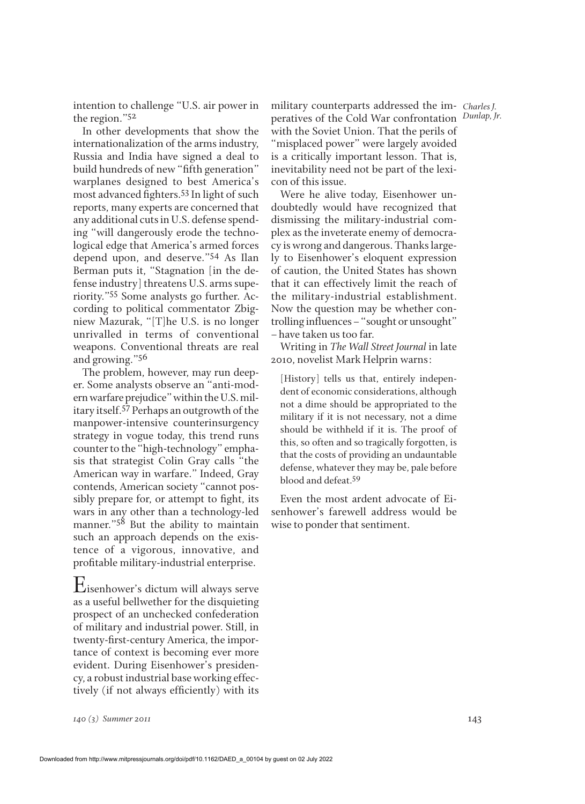intention to challenge "U.S. air power in the region."52

In other developments that show the internationalization of the arms industry, Russia and India have signed a deal to build hundreds of new "fifth generation" warplanes designed to best America's most advanced fighters.<sup>53</sup> In light of such reports, many experts are concerned that any additional cuts in U.S. defense spending "will dangerously erode the technological edge that America's armed forces depend upon, and deserve."54 As Ilan Berman puts it, "Stagnation [in the defense industry] threatens U.S. arms superiority."55 Some analysts go further. According to political commentator Zbigniew Mazurak, "[T]he U.S. is no longer unrivalled in terms of conventional weapons. Conventional threats are real and growing."56

The problem, however, may run deeper. Some analysts observe an "anti-modern warfare prejudice" within the U.S. military itself.57 Perhaps an outgrowth of the manpower-intensive counterinsurgency strategy in vogue today, this trend runs counter to the "high-technology" emphasis that strategist Colin Gray calls "the American way in warfare." Indeed, Gray contends, American society "cannot possibly prepare for, or attempt to fight, its wars in any other than a technology-led manner."<sup>58</sup> But the ability to maintain such an approach depends on the existence of a vigorous, innovative, and profitable military-industrial enterprise.

Eisenhower's dictum will always serve as a useful bellwether for the disquieting prospect of an unchecked confederation of military and industrial power. Still, in twenty-first-century America, the importance of context is becoming ever more evident. During Eisenhower's presidency, a robust industrial base working effectively (if not always efficiently) with its military counterparts addressed the im-*Charles J.* peratives of the Cold War confrontation *Dunlap, Jr.* with the Soviet Union. That the perils of "misplaced power" were largely avoided is a critically important lesson. That is, inevitability need not be part of the lexicon of this issue.

Were he alive today, Eisenhower undoubtedly would have recognized that dismissing the military-industrial complex as the inveterate enemy of democracy is wrong and dangerous. Thanks largely to Eisenhower's eloquent expression of caution, the United States has shown that it can effectively limit the reach of the military-industrial establishment. Now the question may be whether controlling influences–"sought or unsought" –have taken us too far.

Writing in *The Wall Street Journal* in late 2010, novelist Mark Helprin warns:

[History] tells us that, entirely independent of economic considerations, although not a dime should be appropriated to the military if it is not necessary, not a dime should be withheld if it is. The proof of this, so often and so tragically forgotten, is that the costs of providing an undauntable defense, whatever they may be, pale before blood and defeat.59

Even the most ardent advocate of Eisenhower's farewell address would be wise to ponder that sentiment.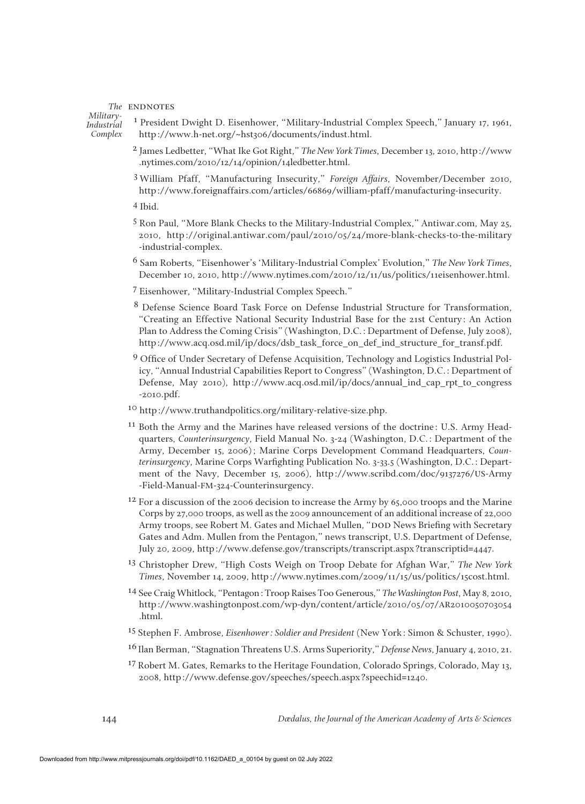## The **ENDNOTES**

*Military-Industrial Complex*

<sup>1</sup> President Dwight D. Eisenhower, "Military-Industrial Complex Speech," January 17, 1961, http://www.h-net.org/~hst306/documents/indust.html.

- 2 James Ledbetter, "What Ike Got Right," *The New York Times*, December 13, 2010, http://www .nytimes.com/2010/12/14/opinion/14ledbetter.html.
- 3 William Pfaff, "Manufacturing Insecurity," *Foreign Affairs*, November/December 2010, http://www.foreignaffairs.com/articles/66869/william-pfaff/manufacturing-insecurity.
- 4 Ibid.
- 5 Ron Paul, "More Blank Checks to the Military-Industrial Complex," Antiwar.com, May 25, 2010, http://original.antiwar.com/paul/2010/05/24/more-blank-checks-to-the-military -industrial-complex.
- 6 Sam Roberts, "Eisenhower's 'Military-Industrial Complex' Evolution," *The New York Times*, December 10, 2010, http://www.nytimes.com/2010/12/11/us/politics/11eisenhower.html.
- 7 Eisenhower, "Military-Industrial Complex Speech."
- 8 Defense Science Board Task Force on Defense Industrial Structure for Transformation, "Creating an Effective National Security Industrial Base for the 21st Century: An Action Plan to Address the Coming Crisis" (Washington, D.C.: Department of Defense, July 2008), http://www.acq.osd.mil/ip/docs/dsb\_task\_force\_on\_def\_ind\_structure\_for\_transf.pdf.
- <sup>9</sup> Office of Under Secretary of Defense Acquisition, Technology and Logistics Industrial Policy, "Annual Industrial Capabilities Report to Congress" (Washington, D.C.: Department of Defense, May 2010), http://www.acq.osd.mil/ip/docs/annual\_ind\_cap\_rpt\_to\_congress -2010.pdf.
- 10 http://www.truthandpolitics.org/military-relative-size.php.
- 11 Both the Army and the Marines have released versions of the doctrine: U.S. Army Headquarters, *Counterinsurgency*, Field Manual No. 3-24 (Washington, D.C.: Department of the Army, December 15, 2006); Marine Corps Development Command Headquarters, *Counterinsurgency*, Marine Corps Warfighting Publication No. 3-33.5 (Washington, D.C.: Department of the Navy, December 15, 2006), http://www.scribd.com/doc/9137276/US-Army -Field-Manual-FM-324-Counterinsurgency.
- $12$  For a discussion of the 2006 decision to increase the Army by 65,000 troops and the Marine Corps by 27,000 troops, as well as the 2009 announcement of an additional increase of 22,000 Army troops, see Robert M. Gates and Michael Mullen, "DOD News Briefing with Secretary Gates and Adm. Mullen from the Pentagon," news transcript, U.S. Department of Defense, July 20, 2009, http://www.defense.gov/transcripts/transcript.aspx?transcriptid=4447.
- 13 Christopher Drew, "High Costs Weigh on Troop Debate for Afghan War," *The New York Times*, November 14, 2009, http://www.nytimes.com/2009/11/15/us/politics/15cost.html.
- 14 See Craig Whitlock, "Pentagon: Troop Raises Too Generous," *The Washington Post*, May 8, 2010, http://www.washingtonpost.com/wp-dyn/content/article/2010/05/07/AR2010050703054 .html.
- 15 Stephen F. Ambrose, *Eisenhower: Soldier and President* (New York: Simon & Schuster, 1990).
- 16 Ilan Berman, "Stagnation Threatens U.S. Arms Superiority," *Defense News*, January 4, 2010, 21.
- $17$  Robert M. Gates, Remarks to the Heritage Foundation, Colorado Springs, Colorado, May 13, 2008, http://www.defense.gov/speeches/speech.aspx?speechid=1240.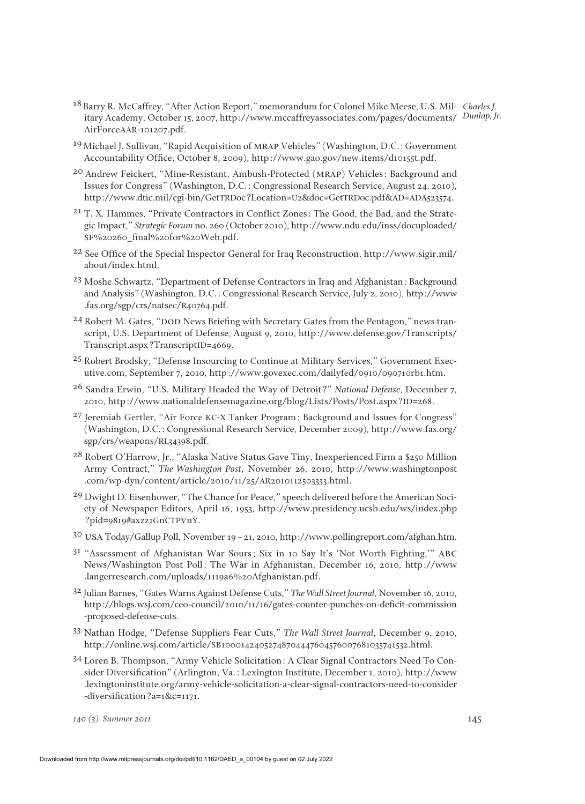- <sup>18</sup> Barry R. McCaffrey, "After Action Report," memorandum for Colonel Mike Meese, U.S. Mil- Charles J. itary Academy, October 15, 2007, http://www.mccaffreyassociates.com/pages/documents/ Dunlap, Jr. AirForceAAR-101207.pdf.
- 19Michael J. Sullivan, "Rapid Acquisition of mrap Vehicles" (Washington, D.C.: Government Accountability Office, October 8, 2009), http://www.gao.gov/new.items/d10155t.pdf.
- 20 Andrew Feickert, "Mine-Resistant, Ambush-Protected (mrap) Vehicles: Background and Issues for Congress" (Washington, D.C.: Congressional Research Service, August 24, 2010), http://www.dtic.mil/cgi-bin/GetTRDoc?Location=U2&doc=GetTRDoc.pdf&AD=ADA523574.
- 21 T. X. Hammes, "Private Contractors in Conflict Zones: The Good, the Bad, and the Strategic Impact," *Strategic Forum* no. 260 (October 2010), http://www.ndu.edu/inss/docuploaded/ SF%20260\_½nal%20for%20Web.pdf.
- <sup>22</sup> See Office of the Special Inspector General for Iraq Reconstruction, http://www.sigir.mil/ about/index.html.
- 23 Moshe Schwartz, "Department of Defense Contractors in Iraq and Afghanistan: Background and Analysis" (Washington, D.C.: Congressional Research Service, July 2, 2010), http://www .fas.org/sgp/crs/natsec/R40764.pdf.
- $24$  Robert M. Gates, "DOD News Briefing with Secretary Gates from the Pentagon," news transcript, U.S. Department of Defense, August 9, 2010, http://www.defense.gov/Transcripts/ Transcript.aspx?TranscriptID=4669.
- 25 Robert Brodsky, "Defense Insourcing to Continue at Military Services," Government Executive.com, September 7, 2010, http://www.govexec.com/dailyfed/0910/090710rb1.htm.
- 26 Sandra Erwin, "U.S. Military Headed the Way of Detroit?" *National Defense*, December 7, 2010, http://www.nationaldefensemagazine.org/blog/Lists/Posts/Post.aspx?ID=268.
- 27 Jeremiah Gertler, "Air Force KC-X Tanker Program: Background and Issues for Congress" (Washington, D.C.: Congressional Research Service, December 2009), http://www.fas.org/ sgp/crs/weapons/RL34398.pdf.
- 28 Robert O'Harrow, Jr., "Alaska Native Status Gave Tiny, Inexperienced Firm a \$250 Million Army Contract," *The Washington Post*, November 26, 2010, http://www.washingtonpost .com/wp-dyn/content/article/2010/11/25/AR2010112503333.html.
- 29 Dwight D. Eisenhower, "The Chance for Peace," speech delivered before the American Society of Newspaper Editors, April 16, 1953, http://www.presidency.ucsb.edu/ws/index.php ?pid=9819#axzz1GnCTPVnY.
- 30 usa Today/Gallup Poll, November 19–21, 2010, http://www.pollingreport.com/afghan.htm.
- <sup>31</sup> "Assessment of Afghanistan War Sours; Six in 10 Say It's 'Not Worth Fighting,'" abc News/Washington Post Poll: The War in Afghanistan, December 16, 2010, http://www .langerresearch.com/uploads/1119a6%20Afghanistan.pdf.
- 32 Julian Barnes, "Gates Warns Against Defense Cuts," *The Wall Street Journal*, November 16, 2010, http://blogs.wsj.com/ceo-council/2010/11/16/gates-counter-punches-on-deficit-commission -proposed-defense-cuts.
- 33 Nathan Hodge, "Defense Suppliers Fear Cuts," *The Wall Street Journal*, December 9, 2010, http://online.wsj.com/article/SB10001424052748704447604576007681035741532.html.
- 34 Loren B. Thompson, "Army Vehicle Solicitation: A Clear Signal Contractors Need To Consider Diversification" (Arlington, Va.: Lexington Institute, December 1, 2010), http://www .lexingtoninstitute.org/army-vehicle-solicitation-a-clear-signal-contractors-need-to-consider -diversification?a=1&c=1171.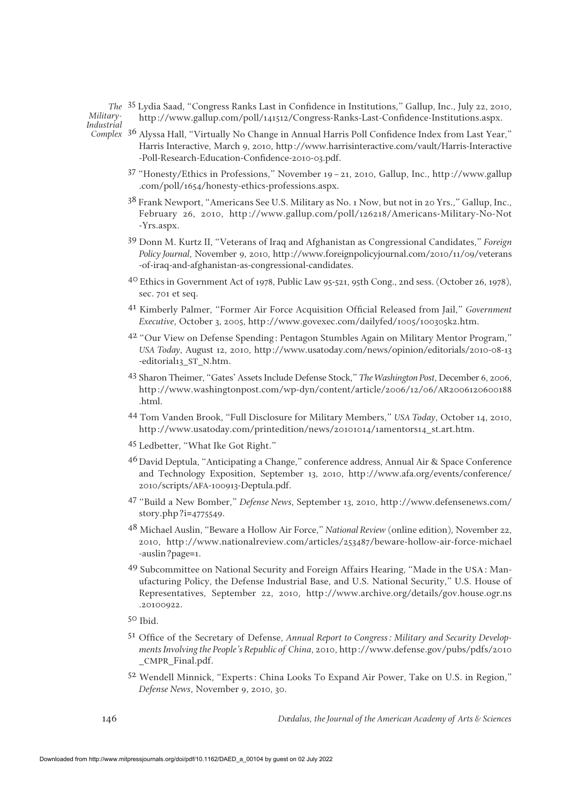The <sup>35</sup> Lydia Saad, "Congress Ranks Last in Confidence in Institutions," Gallup, Inc., July 22, 2010, http://www.gallup.com/poll/141512/Congress-Ranks-Last-Confidence-Institutions.aspx.

*Military-Industrial*

- <sup>1111</sup> Complex 3<sup>6</sup> Alyssa Hall, "Virtually No Change in Annual Harris Poll Confidence Index from Last Year," Harris Interactive, March 9, 2010, http://www.harrisinteractive.com/vault/Harris-Interactive -Poll-Research-Education-Confidence-2010-03.pdf.
	- 37 "Honesty/Ethics in Professions," November 19–21, 2010, Gallup, Inc., http://www.gallup .com/poll/1654/honesty-ethics-professions.aspx.
	- 38 Frank Newport, "Americans See U.S. Military as No. 1 Now, but not in 20 Yrs.," Gallup, Inc., February 26, 2010, http://www.gallup.com/poll/126218/Americans-Military-No-Not -Yrs.aspx.
	- 39 Donn M. Kurtz II, "Veterans of Iraq and Afghanistan as Congressional Candidates," *Foreign Policy Journal*, November 9, 2010, http://www.foreignpolicyjournal.com/2010/11/09/veterans -of-iraq-and-afghanistan-as-congressional-candidates.
	- 40 Ethics in Government Act of 1978, Public Law 95-521, 95th Cong., 2nd sess. (October 26, 1978), sec. 701 et seq.
	- <sup>41</sup> Kimberly Palmer, "Former Air Force Acquisition Official Released from Jail," *Government Executive*, October 3, 2005, http://www.govexec.com/dailyfed/1005/100305k2.htm.
	- 42 "Our View on Defense Spending: Pentagon Stumbles Again on Military Mentor Program," *USA Today*, August 12, 2010, http://www.usatoday.com/news/opinion/editorials/2010-08-13 -editorial13\_ST\_N.htm.
	- 43 Sharon Theimer, "Gates' Assets Include Defense Stock," *The Washington Post*, December 6, 2006, http://www.washingtonpost.com/wp-dyn/content/article/2006/12/06/AR2006120600188 .html.
	- 44 Tom Vanden Brook, "Full Disclosure for Military Members," *USA Today*, October 14, 2010, http://www.usatoday.com/printedition/news/20101014/1amentors14\_st.art.htm.
	- 45 Ledbetter, "What Ike Got Right."
	- 46David Deptula, "Anticipating a Change," conference address, Annual Air & Space Conference and Technology Exposition, September 13, 2010, http://www.afa.org/events/conference/ 2010/scripts/AFA-100913-Deptula.pdf.
	- 47 "Build a New Bomber," *Defense News*, September 13, 2010, http://www.defensenews.com/ story.php?i=4775549.
	- 48 Michael Auslin, "Beware a Hollow Air Force," *National Review* (online edition), November 22, 2010, http://www.nationalreview.com/articles/253487/beware-hollow-air-force-michael -auslin?page=1.
	- 49 Subcommittee on National Security and Foreign Affairs Hearing, "Made in the USA: Manufacturing Policy, the Defense Industrial Base, and U.S. National Security," U.S. House of Representatives, September 22, 2010, http://www.archive.org/details/gov.house.ogr.ns .20100922.
	- 50 Ibid.
	- 51 Office of the Secretary of Defense, *Annual Report to Congress: Military and Security Developments Involving the People's Republic of China*, 2010, http://www.defense.gov/pubs/pdfs/2010 \_CMPR\_Final.pdf.
	- 52 Wendell Minnick, "Experts: China Looks To Expand Air Power, Take on U.S. in Region," *Defense News*, November 9, 2010, 30.

*Dædalus, the Journal of the American Academy of Arts & Sciences*